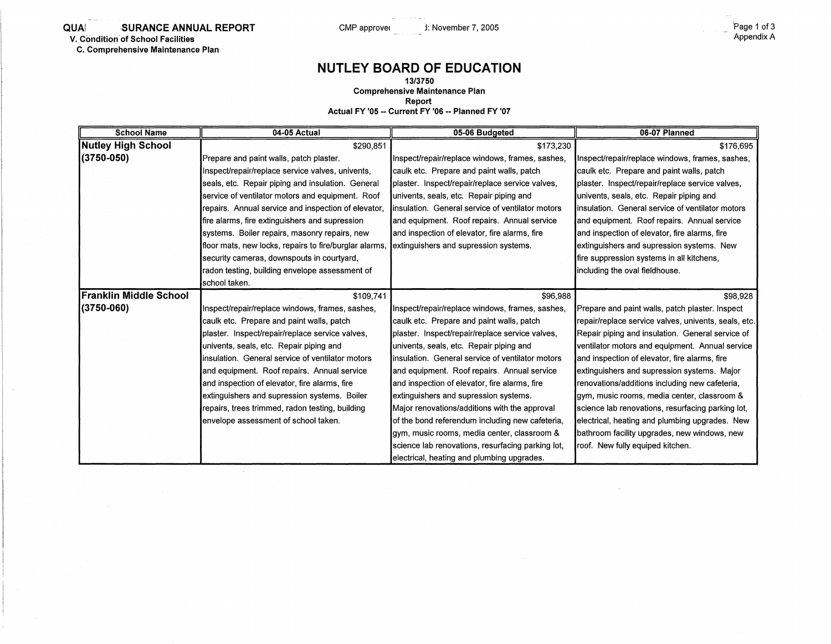**C. Comprehensive Maintenance Plan** 

## **NUTLEY BOARD OF EDUCATION**

**13/3750 Comprehensive Maintenance Plan** 

**Report** 

**Actual FY '05 -- Current FY '06 -- Planned FY '07** 

| <b>School Name</b>            | 04-05 Actual                                           | 05-06 Budgeted                                    | 06-07 Planned                                        |
|-------------------------------|--------------------------------------------------------|---------------------------------------------------|------------------------------------------------------|
| <b>Nutley High School</b>     | \$290,851                                              | \$173,230                                         | \$176,695                                            |
| $(3750 - 050)$                | Prepare and paint walls, patch plaster.                | Inspect/repair/replace windows, frames, sashes,   | Inspect/repair/replace windows, frames, sashes,      |
|                               | Inspect/repair/replace service valves, univents,       | caulk etc. Prepare and paint walls, patch         | caulk etc. Prepare and paint walls, patch            |
|                               | seals, etc. Repair piping and insulation. General      | plaster. Inspect/repair/replace service valves,   | plaster. Inspect/repair/replace service valves,      |
|                               | service of ventilator motors and equipment. Roof       | univents, seals, etc. Repair piping and           | univents, seals, etc. Repair piping and              |
|                               | repairs. Annual service and inspection of elevator,    | insulation. General service of ventilator motors  | insulation. General service of ventilator motors     |
|                               | fire alarms, fire extinguishers and supression         | and equipment. Roof repairs. Annual service       | and equipment. Roof repairs. Annual service          |
|                               | systems. Boiler repairs, masonry repairs, new          | and inspection of elevator, fire alarms, fire     | and inspection of elevator, fire alarms, fire        |
|                               | floor mats, new locks, repairs to fire/burglar alarms, | extinguishers and supression systems.             | extinguishers and supression systems. New            |
|                               | security cameras, downspouts in courtyard,             |                                                   | fire suppression systems in all kitchens,            |
|                               | radon testing, building envelope assessment of         |                                                   | including the oval fieldhouse.                       |
|                               | school taken.                                          |                                                   |                                                      |
| <b>Franklin Middle School</b> | \$109,741                                              | \$96,988                                          | \$98,928                                             |
| $(3750 - 060)$                | Inspect/repair/replace windows, frames, sashes,        | Inspect/repair/replace windows, frames, sashes,   | Prepare and paint walls, patch plaster. Inspect      |
|                               | caulk etc. Prepare and paint walls, patch              | caulk etc. Prepare and paint walls, patch         | repair/replace service valves, univents, seals, etc. |
|                               | plaster. Inspect/repair/replace service valves,        | plaster. Inspect/repair/replace service valves.   | Repair piping and insulation. General service of     |
|                               | univents, seals, etc. Repair piping and                | univents, seals, etc. Repair piping and           | ventilator motors and equipment. Annual service      |
|                               | linsulation. General service of ventilator motors      | linsulation. General service of ventilator motors | and inspection of elevator, fire alarms, fire        |
|                               | and equipment. Roof repairs. Annual service            | and equipment. Roof repairs. Annual service       | extinguishers and supression systems. Major          |
|                               | and inspection of elevator, fire alarms, fire          | and inspection of elevator, fire alarms, fire     | renovations/additions including new cafeteria,       |
|                               | extinguishers and supression systems. Boiler           | extinguishers and supression systems.             | gym, music rooms, media center, classroom &          |
|                               | repairs, trees trimmed, radon testing, building        | Major renovations/additions with the approval     | science lab renovations, resurfacing parking lot,    |
|                               | envelope assessment of school taken.                   | of the bond referendum including new cafeteria,   | electrical, heating and plumbing upgrades. New       |
|                               |                                                        | gym, music rooms, media center, classroom &       | bathroom facility upgrades, new windows, new         |
|                               |                                                        | science lab renovations, resurfacing parking lot, | roof. New fully equiped kitchen.                     |
|                               |                                                        | electrical, heating and plumbing upgrades.        |                                                      |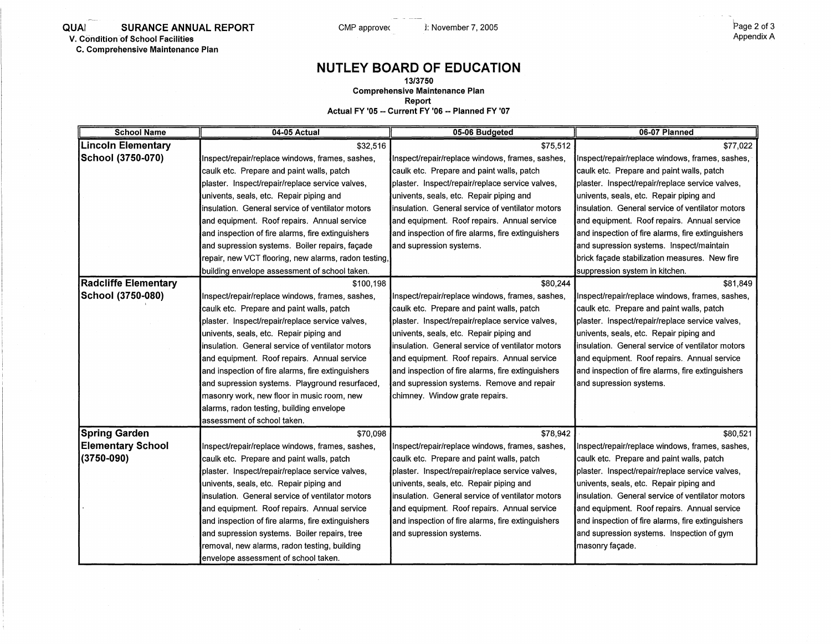**QUAI SURANCE ANNUAL REPORT** CMP approvec in the Superinter 7, 2005 **SURANCE ANNUAL REPORT** COMP approvec in the Superinter 7, 2005 **CMP** and the Superinter Appendix A **V. Condition of School Facilities** 

**C. Comprehensive Maintenance Plan** 

## **NUTLEY BOARD OF EDUCATION**

**13/3750** 

**Comprehensive Maintenance Plan** 

**Report** 

**Actual FY '05 -- Current FY '06 -- Planned FY '07** 

| <b>School Name</b>          | 04-05 Actual                                         | 05-06 Budgeted                                    | 06-07 Planned                                     |
|-----------------------------|------------------------------------------------------|---------------------------------------------------|---------------------------------------------------|
| <b>Lincoln Elementary</b>   | \$32,516                                             | \$75,512                                          | \$77,022                                          |
| School (3750-070)           | Inspect/repair/replace windows, frames, sashes,      | Inspect/repair/replace windows, frames, sashes,   | Inspect/repair/replace windows, frames, sashes,   |
|                             | caulk etc. Prepare and paint walls, patch            | caulk etc. Prepare and paint walls, patch         | caulk etc. Prepare and paint walls, patch         |
|                             | plaster. Inspect/repair/replace service valves,      | plaster. Inspect/repair/replace service valves,   | plaster. Inspect/repair/replace service valves,   |
|                             | univents, seals, etc. Repair piping and              | univents, seals, etc. Repair piping and           | univents, seals, etc. Repair piping and           |
|                             | insulation. General service of ventilator motors     | linsulation. General service of ventilator motors | insulation. General service of ventilator motors  |
|                             | and equipment. Roof repairs. Annual service          | and equipment. Roof repairs. Annual service       | and equipment. Roof repairs. Annual service       |
|                             | and inspection of fire alarms, fire extinguishers    | and inspection of fire alarms, fire extinguishers | and inspection of fire alarms, fire extinguishers |
|                             | and supression systems. Boiler repairs, façade       | and supression systems.                           | and supression systems. Inspect/maintain          |
|                             | repair, new VCT flooring, new alarms, radon testing, |                                                   | brick façade stabilization measures. New fire     |
|                             | building envelope assessment of school taken.        |                                                   | suppression system in kitchen.                    |
| <b>Radcliffe Elementary</b> | \$100,198                                            | \$80,244                                          | \$81,849                                          |
| School (3750-080)           | Inspect/repair/replace windows, frames, sashes,      | Inspect/repair/replace windows, frames, sashes,   | Inspect/repair/replace windows, frames, sashes,   |
|                             | caulk etc. Prepare and paint walls, patch            | caulk etc. Prepare and paint walls, patch         | caulk etc. Prepare and paint walls, patch         |
|                             | plaster. Inspect/repair/replace service valves,      | plaster. Inspect/repair/replace service valves,   | plaster. Inspect/repair/replace service valves,   |
|                             | univents, seals, etc. Repair piping and              | univents, seals, etc. Repair piping and           | univents, seals, etc. Repair piping and           |
|                             | insulation. General service of ventilator motors     | linsulation. General service of ventilator motors | insulation. General service of ventilator motors  |
|                             | and equipment. Roof repairs. Annual service          | and equipment. Roof repairs. Annual service       | and equipment. Roof repairs. Annual service       |
|                             | and inspection of fire alarms, fire extinguishers    | and inspection of fire alarms, fire extinguishers | and inspection of fire alarms, fire extinguishers |
|                             | and supression systems. Playground resurfaced,       | and supression systems. Remove and repair         | and supression systems.                           |
|                             | masonry work, new floor in music room, new           | chimney. Window grate repairs.                    |                                                   |
|                             | alarms, radon testing, building envelope             |                                                   |                                                   |
|                             | assessment of school taken.                          |                                                   |                                                   |
| <b>Spring Garden</b>        | \$70,098                                             | \$78,942                                          | \$80,521                                          |
| <b>Elementary School</b>    | Inspect/repair/replace windows, frames, sashes,      | Inspect/repair/replace windows, frames, sashes,   | Inspect/repair/replace windows, frames, sashes,   |
| (3750-090)                  | caulk etc. Prepare and paint walls, patch            | caulk etc. Prepare and paint walls, patch         | caulk etc. Prepare and paint walls, patch         |
|                             | plaster. Inspect/repair/replace service valves,      | plaster. Inspect/repair/replace service valves,   | plaster. Inspect/repair/replace service valves,   |
|                             | univents, seals, etc. Repair piping and              | univents, seals, etc. Repair piping and           | univents, seals, etc. Repair piping and           |
|                             | insulation. General service of ventilator motors     | insulation. General service of ventilator motors  | insulation. General service of ventilator motors  |
|                             | and equipment. Roof repairs. Annual service          | and equipment. Roof repairs. Annual service       | and equipment. Roof repairs. Annual service       |
|                             | and inspection of fire alarms, fire extinguishers    | and inspection of fire alarms, fire extinguishers | and inspection of fire alarms, fire extinguishers |
|                             | and supression systems. Boiler repairs, tree         | and supression systems.                           | and supression systems. Inspection of gym         |
|                             | removal, new alarms, radon testing, building         |                                                   | masonry façade.                                   |
|                             | envelope assessment of school taken.                 |                                                   |                                                   |